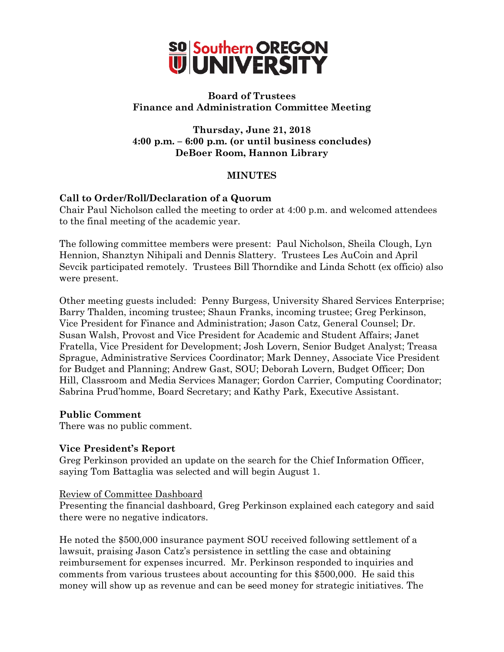

## **Board of Trustees Finance and Administration Committee Meeting**

**Thursday, June 21, 2018 4:00 p.m. – 6:00 p.m. (or until business concludes) DeBoer Room, Hannon Library**

## **MINUTES**

# **Call to Order/Roll/Declaration of a Quorum**

Chair Paul Nicholson called the meeting to order at 4:00 p.m. and welcomed attendees to the final meeting of the academic year.

The following committee members were present: Paul Nicholson, Sheila Clough, Lyn Hennion, Shanztyn Nihipali and Dennis Slattery. Trustees Les AuCoin and April Sevcik participated remotely. Trustees Bill Thorndike and Linda Schott (ex officio) also were present.

Other meeting guests included: Penny Burgess, University Shared Services Enterprise; Barry Thalden, incoming trustee; Shaun Franks, incoming trustee; Greg Perkinson, Vice President for Finance and Administration; Jason Catz, General Counsel; Dr. Susan Walsh, Provost and Vice President for Academic and Student Affairs; Janet Fratella, Vice President for Development; Josh Lovern, Senior Budget Analyst; Treasa Sprague, Administrative Services Coordinator; Mark Denney, Associate Vice President for Budget and Planning; Andrew Gast, SOU; Deborah Lovern, Budget Officer; Don Hill, Classroom and Media Services Manager; Gordon Carrier, Computing Coordinator; Sabrina Prud'homme, Board Secretary; and Kathy Park, Executive Assistant.

## **Public Comment**

There was no public comment.

#### **Vice President's Report**

Greg Perkinson provided an update on the search for the Chief Information Officer, saying Tom Battaglia was selected and will begin August 1.

#### Review of Committee Dashboard

Presenting the financial dashboard, Greg Perkinson explained each category and said there were no negative indicators.

He noted the \$500,000 insurance payment SOU received following settlement of a lawsuit, praising Jason Catz's persistence in settling the case and obtaining reimbursement for expenses incurred. Mr. Perkinson responded to inquiries and comments from various trustees about accounting for this \$500,000. He said this money will show up as revenue and can be seed money for strategic initiatives. The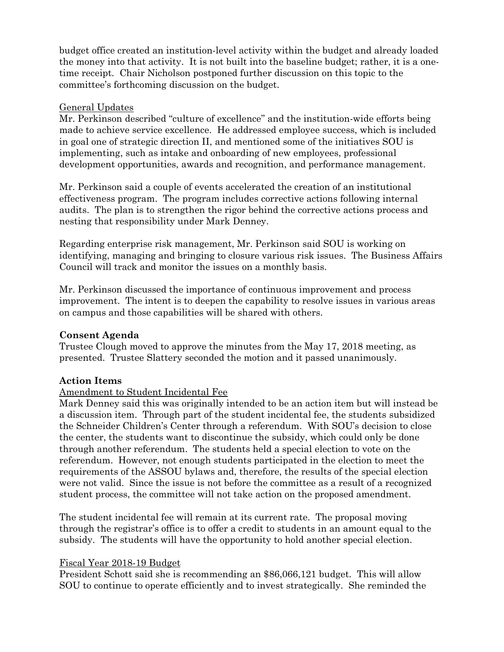budget office created an institution-level activity within the budget and already loaded the money into that activity. It is not built into the baseline budget; rather, it is a onetime receipt. Chair Nicholson postponed further discussion on this topic to the committee's forthcoming discussion on the budget.

#### General Updates

Mr. Perkinson described "culture of excellence" and the institution-wide efforts being made to achieve service excellence. He addressed employee success, which is included in goal one of strategic direction II, and mentioned some of the initiatives SOU is implementing, such as intake and onboarding of new employees, professional development opportunities, awards and recognition, and performance management.

Mr. Perkinson said a couple of events accelerated the creation of an institutional effectiveness program. The program includes corrective actions following internal audits. The plan is to strengthen the rigor behind the corrective actions process and nesting that responsibility under Mark Denney.

Regarding enterprise risk management, Mr. Perkinson said SOU is working on identifying, managing and bringing to closure various risk issues. The Business Affairs Council will track and monitor the issues on a monthly basis.

Mr. Perkinson discussed the importance of continuous improvement and process improvement. The intent is to deepen the capability to resolve issues in various areas on campus and those capabilities will be shared with others.

## **Consent Agenda**

Trustee Clough moved to approve the minutes from the May 17, 2018 meeting, as presented. Trustee Slattery seconded the motion and it passed unanimously.

## **Action Items**

## Amendment to Student Incidental Fee

Mark Denney said this was originally intended to be an action item but will instead be a discussion item. Through part of the student incidental fee, the students subsidized the Schneider Children's Center through a referendum. With SOU's decision to close the center, the students want to discontinue the subsidy, which could only be done through another referendum. The students held a special election to vote on the referendum. However, not enough students participated in the election to meet the requirements of the ASSOU bylaws and, therefore, the results of the special election were not valid. Since the issue is not before the committee as a result of a recognized student process, the committee will not take action on the proposed amendment.

The student incidental fee will remain at its current rate. The proposal moving through the registrar's office is to offer a credit to students in an amount equal to the subsidy. The students will have the opportunity to hold another special election.

#### Fiscal Year 2018-19 Budget

President Schott said she is recommending an \$86,066,121 budget. This will allow SOU to continue to operate efficiently and to invest strategically. She reminded the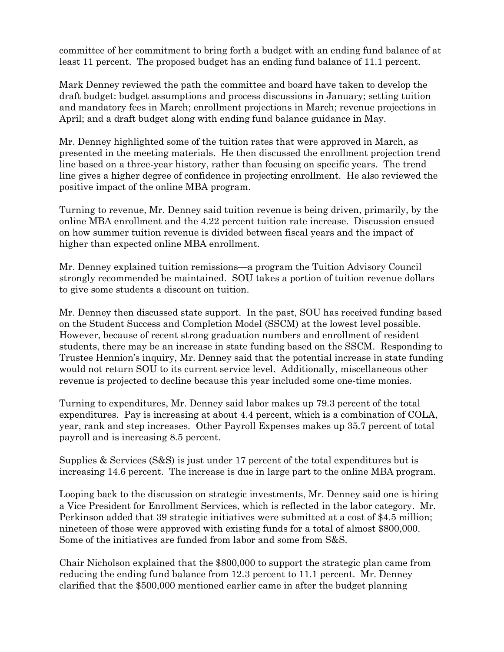committee of her commitment to bring forth a budget with an ending fund balance of at least 11 percent. The proposed budget has an ending fund balance of 11.1 percent.

Mark Denney reviewed the path the committee and board have taken to develop the draft budget: budget assumptions and process discussions in January; setting tuition and mandatory fees in March; enrollment projections in March; revenue projections in April; and a draft budget along with ending fund balance guidance in May.

Mr. Denney highlighted some of the tuition rates that were approved in March, as presented in the meeting materials. He then discussed the enrollment projection trend line based on a three-year history, rather than focusing on specific years. The trend line gives a higher degree of confidence in projecting enrollment. He also reviewed the positive impact of the online MBA program.

Turning to revenue, Mr. Denney said tuition revenue is being driven, primarily, by the online MBA enrollment and the 4.22 percent tuition rate increase. Discussion ensued on how summer tuition revenue is divided between fiscal years and the impact of higher than expected online MBA enrollment.

Mr. Denney explained tuition remissions—a program the Tuition Advisory Council strongly recommended be maintained. SOU takes a portion of tuition revenue dollars to give some students a discount on tuition.

Mr. Denney then discussed state support. In the past, SOU has received funding based on the Student Success and Completion Model (SSCM) at the lowest level possible. However, because of recent strong graduation numbers and enrollment of resident students, there may be an increase in state funding based on the SSCM. Responding to Trustee Hennion's inquiry, Mr. Denney said that the potential increase in state funding would not return SOU to its current service level. Additionally, miscellaneous other revenue is projected to decline because this year included some one-time monies.

Turning to expenditures, Mr. Denney said labor makes up 79.3 percent of the total expenditures. Pay is increasing at about 4.4 percent, which is a combination of COLA, year, rank and step increases. Other Payroll Expenses makes up 35.7 percent of total payroll and is increasing 8.5 percent.

Supplies & Services (S&S) is just under 17 percent of the total expenditures but is increasing 14.6 percent. The increase is due in large part to the online MBA program.

Looping back to the discussion on strategic investments, Mr. Denney said one is hiring a Vice President for Enrollment Services, which is reflected in the labor category. Mr. Perkinson added that 39 strategic initiatives were submitted at a cost of \$4.5 million; nineteen of those were approved with existing funds for a total of almost \$800,000. Some of the initiatives are funded from labor and some from S&S.

Chair Nicholson explained that the \$800,000 to support the strategic plan came from reducing the ending fund balance from 12.3 percent to 11.1 percent. Mr. Denney clarified that the \$500,000 mentioned earlier came in after the budget planning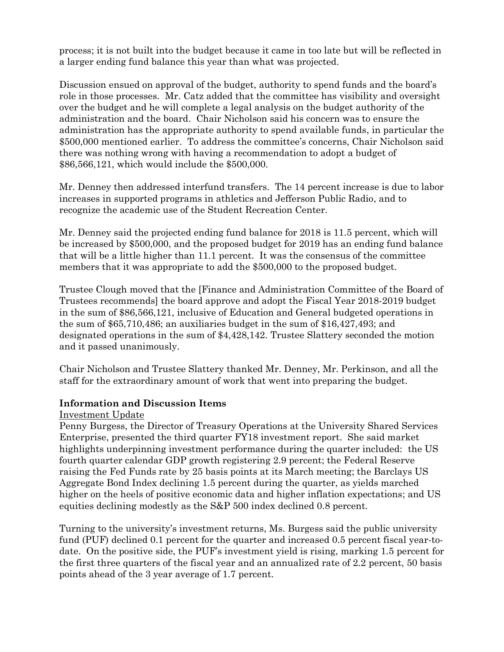process; it is not built into the budget because it came in too late but will be reflected in a larger ending fund balance this year than what was projected.

Discussion ensued on approval of the budget, authority to spend funds and the board's role in those processes. Mr. Catz added that the committee has visibility and oversight over the budget and he will complete a legal analysis on the budget authority of the administration and the board. Chair Nicholson said his concern was to ensure the administration has the appropriate authority to spend available funds, in particular the \$500,000 mentioned earlier. To address the committee's concerns, Chair Nicholson said there was nothing wrong with having a recommendation to adopt a budget of \$86,566,121, which would include the \$500,000.

Mr. Denney then addressed interfund transfers. The 14 percent increase is due to labor increases in supported programs in athletics and Jefferson Public Radio, and to recognize the academic use of the Student Recreation Center.

Mr. Denney said the projected ending fund balance for 2018 is 11.5 percent, which will be increased by \$500,000, and the proposed budget for 2019 has an ending fund balance that will be a little higher than 11.1 percent. It was the consensus of the committee members that it was appropriate to add the \$500,000 to the proposed budget.

Trustee Clough moved that the [Finance and Administration Committee of the Board of Trustees recommends] the board approve and adopt the Fiscal Year 2018-2019 budget in the sum of \$86,566,121, inclusive of Education and General budgeted operations in the sum of \$65,710,486; an auxiliaries budget in the sum of \$16,427,493; and designated operations in the sum of \$4,428,142. Trustee Slattery seconded the motion and it passed unanimously.

Chair Nicholson and Trustee Slattery thanked Mr. Denney, Mr. Perkinson, and all the staff for the extraordinary amount of work that went into preparing the budget.

## **Information and Discussion Items**

## Investment Update

Penny Burgess, the Director of Treasury Operations at the University Shared Services Enterprise, presented the third quarter FY18 investment report. She said market highlights underpinning investment performance during the quarter included: the US fourth quarter calendar GDP growth registering 2.9 percent; the Federal Reserve raising the Fed Funds rate by 25 basis points at its March meeting; the Barclays US Aggregate Bond Index declining 1.5 percent during the quarter, as yields marched higher on the heels of positive economic data and higher inflation expectations; and US equities declining modestly as the S&P 500 index declined 0.8 percent.

Turning to the university's investment returns, Ms. Burgess said the public university fund (PUF) declined 0.1 percent for the quarter and increased 0.5 percent fiscal year-todate. On the positive side, the PUF's investment yield is rising, marking 1.5 percent for the first three quarters of the fiscal year and an annualized rate of 2.2 percent, 50 basis points ahead of the 3 year average of 1.7 percent.